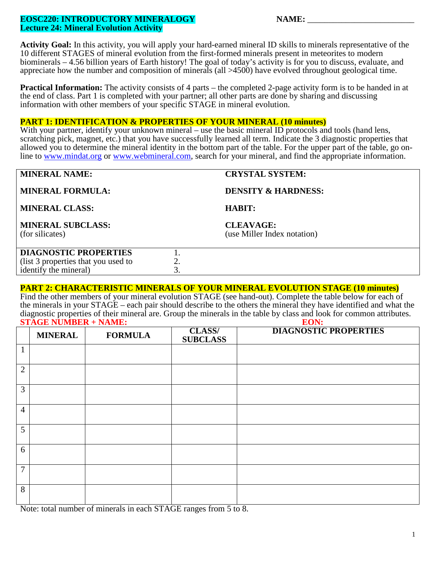### **EOSC220: INTRODUCTORY MINERALOGY Lecture 24: Mineral Evolution Activity**

| <b>NAME:</b> |  |  |  |
|--------------|--|--|--|
|              |  |  |  |

**Activity Goal:** In this activity, you will apply your hard-earned mineral ID skills to minerals representative of the 10 different STAGES of mineral evolution from the first-formed minerals present in meteorites to modern biominerals – 4.56 billion years of Earth history! The goal of today's activity is for you to discuss, evaluate, and appreciate how the number and composition of minerals (all >4500) have evolved throughout geological time.

**Practical Information:** The activity consists of 4 parts – the completed 2-page activity form is to be handed in at the end of class. Part 1 is completed with your partner; all other parts are done by sharing and discussing information with other members of your specific STAGE in mineral evolution.

### **PART 1: IDENTIFICATION & PROPERTIES OF YOUR MINERAL (10 minutes)**

With your partner, identify your unknown mineral – use the basic mineral ID protocols and tools (hand lens, scratching pick, magnet, etc.) that you have successfully learned all term. Indicate the 3 diagnostic properties that allowed you to determine the mineral identity in the bottom part of the table. For the upper part of the table, go online to [www.mindat.org](http://www.mindat.org/) or [www.webmineral.com,](http://www.webmineral.com/) search for your mineral, and find the appropriate information.

| <b>MINERAL NAME:</b>                                                                         | <b>CRYSTAL SYSTEM:</b>                          |  |
|----------------------------------------------------------------------------------------------|-------------------------------------------------|--|
| <b>MINERAL FORMULA:</b>                                                                      | <b>DENSITY &amp; HARDNESS:</b>                  |  |
| <b>MINERAL CLASS:</b>                                                                        | <b>HABIT:</b>                                   |  |
| <b>MINERAL SUBCLASS:</b><br>(for silicates)                                                  | <b>CLEAVAGE:</b><br>(use Miller Index notation) |  |
| <b>DIAGNOSTIC PROPERTIES</b><br>(list 3 properties that you used to<br>identify the mineral) |                                                 |  |
|                                                                                              |                                                 |  |

### **PART 2: CHARACTERISTIC MINERALS OF YOUR MINERAL EVOLUTION STAGE (10 minutes)**

Find the other members of your mineral evolution STAGE (see hand-out). Complete the table below for each of the minerals in your STAGE – each pair should describe to the others the mineral they have identified and what the diagnostic properties of their mineral are. Group the minerals in the table by class and look for common attributes.<br> **STAGE NUMBER + NAME: STAGE NUMBER + NAME:** 

|                | <b>MINERAL</b> | <b>FORMULA</b> | <b>CLASS/</b><br><b>SUBCLASS</b> | <b>DIAGNOSTIC PROPERTIES</b> |
|----------------|----------------|----------------|----------------------------------|------------------------------|
| 1<br>1         |                |                |                                  |                              |
| $\overline{2}$ |                |                |                                  |                              |
| 3              |                |                |                                  |                              |
| $\overline{4}$ |                |                |                                  |                              |
| 5              |                |                |                                  |                              |
| 6              |                |                |                                  |                              |
| $\overline{7}$ |                |                |                                  |                              |
| 8              |                |                |                                  |                              |

Note: total number of minerals in each STAGE ranges from 5 to 8.